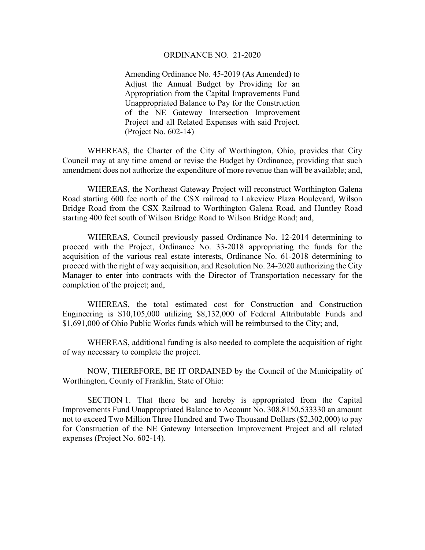## ORDINANCE NO. 21-2020

Amending Ordinance No. 45-2019 (As Amended) to Adjust the Annual Budget by Providing for an Appropriation from the Capital Improvements Fund Unappropriated Balance to Pay for the Construction of the NE Gateway Intersection Improvement Project and all Related Expenses with said Project. (Project No. 602-14)

 WHEREAS, the Charter of the City of Worthington, Ohio, provides that City Council may at any time amend or revise the Budget by Ordinance, providing that such amendment does not authorize the expenditure of more revenue than will be available; and,

 WHEREAS, the Northeast Gateway Project will reconstruct Worthington Galena Road starting 600 fee north of the CSX railroad to Lakeview Plaza Boulevard, Wilson Bridge Road from the CSX Railroad to Worthington Galena Road, and Huntley Road starting 400 feet south of Wilson Bridge Road to Wilson Bridge Road; and,

 WHEREAS, Council previously passed Ordinance No. 12-2014 determining to proceed with the Project, Ordinance No. 33-2018 appropriating the funds for the acquisition of the various real estate interests, Ordinance No. 61-2018 determining to proceed with the right of way acquisition, and Resolution No. 24-2020 authorizing the City Manager to enter into contracts with the Director of Transportation necessary for the completion of the project; and,

 WHEREAS, the total estimated cost for Construction and Construction Engineering is \$10,105,000 utilizing \$8,132,000 of Federal Attributable Funds and \$1,691,000 of Ohio Public Works funds which will be reimbursed to the City; and,

 WHEREAS, additional funding is also needed to complete the acquisition of right of way necessary to complete the project.

 NOW, THEREFORE, BE IT ORDAINED by the Council of the Municipality of Worthington, County of Franklin, State of Ohio:

 SECTION 1. That there be and hereby is appropriated from the Capital Improvements Fund Unappropriated Balance to Account No. 308.8150.533330 an amount not to exceed Two Million Three Hundred and Two Thousand Dollars (\$2,302,000) to pay for Construction of the NE Gateway Intersection Improvement Project and all related expenses (Project No. 602-14).